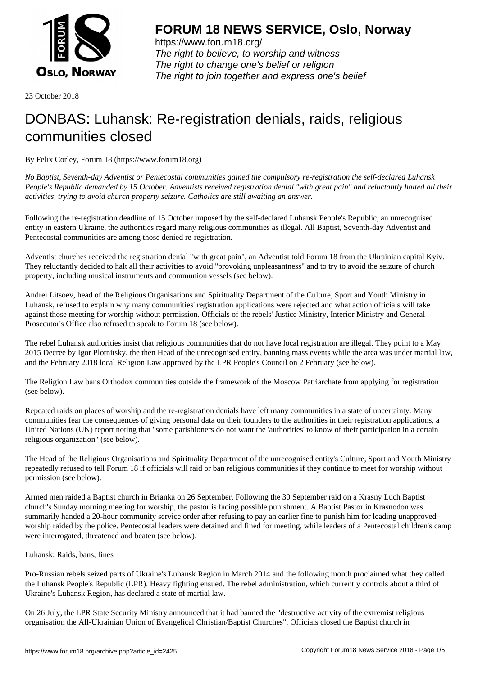

https://www.forum18.org/ The right to believe, to worship and witness The right to change one's belief or religion [The right to join together a](https://www.forum18.org/)nd express one's belief

23 October 2018

## [DONBAS: Luha](https://www.forum18.org)nsk: Re-registration denials, raids, religious communities closed

By Felix Corley, Forum 18 (https://www.forum18.org)

*No Baptist, Seventh-day Adventist or Pentecostal communities gained the compulsory re-registration the self-declared Luhansk People's Republic demanded by 15 October. Adventists received registration denial "with great pain" and reluctantly halted all their activities, trying to avoid church property seizure. Catholics are still awaiting an answer.*

Following the re-registration deadline of 15 October imposed by the self-declared Luhansk People's Republic, an unrecognised entity in eastern Ukraine, the authorities regard many religious communities as illegal. All Baptist, Seventh-day Adventist and Pentecostal communities are among those denied re-registration.

Adventist churches received the registration denial "with great pain", an Adventist told Forum 18 from the Ukrainian capital Kyiv. They reluctantly decided to halt all their activities to avoid "provoking unpleasantness" and to try to avoid the seizure of church property, including musical instruments and communion vessels (see below).

Andrei Litsoev, head of the Religious Organisations and Spirituality Department of the Culture, Sport and Youth Ministry in Luhansk, refused to explain why many communities' registration applications were rejected and what action officials will take against those meeting for worship without permission. Officials of the rebels' Justice Ministry, Interior Ministry and General Prosecutor's Office also refused to speak to Forum 18 (see below).

The rebel Luhansk authorities insist that religious communities that do not have local registration are illegal. They point to a May 2015 Decree by Igor Plotnitsky, the then Head of the unrecognised entity, banning mass events while the area was under martial law, and the February 2018 local Religion Law approved by the LPR People's Council on 2 February (see below).

The Religion Law bans Orthodox communities outside the framework of the Moscow Patriarchate from applying for registration (see below).

Repeated raids on places of worship and the re-registration denials have left many communities in a state of uncertainty. Many communities fear the consequences of giving personal data on their founders to the authorities in their registration applications, a United Nations (UN) report noting that "some parishioners do not want the 'authorities' to know of their participation in a certain religious organization" (see below).

The Head of the Religious Organisations and Spirituality Department of the unrecognised entity's Culture, Sport and Youth Ministry repeatedly refused to tell Forum 18 if officials will raid or ban religious communities if they continue to meet for worship without permission (see below).

Armed men raided a Baptist church in Brianka on 26 September. Following the 30 September raid on a Krasny Luch Baptist church's Sunday morning meeting for worship, the pastor is facing possible punishment. A Baptist Pastor in Krasnodon was summarily handed a 20-hour community service order after refusing to pay an earlier fine to punish him for leading unapproved worship raided by the police. Pentecostal leaders were detained and fined for meeting, while leaders of a Pentecostal children's camp were interrogated, threatened and beaten (see below).

## Luhansk: Raids, bans, fines

Pro-Russian rebels seized parts of Ukraine's Luhansk Region in March 2014 and the following month proclaimed what they called the Luhansk People's Republic (LPR). Heavy fighting ensued. The rebel administration, which currently controls about a third of Ukraine's Luhansk Region, has declared a state of martial law.

On 26 July, the LPR State Security Ministry announced that it had banned the "destructive activity of the extremist religious organisation the All-Ukrainian Union of Evangelical Christian/Baptist Churches". Officials closed the Baptist church in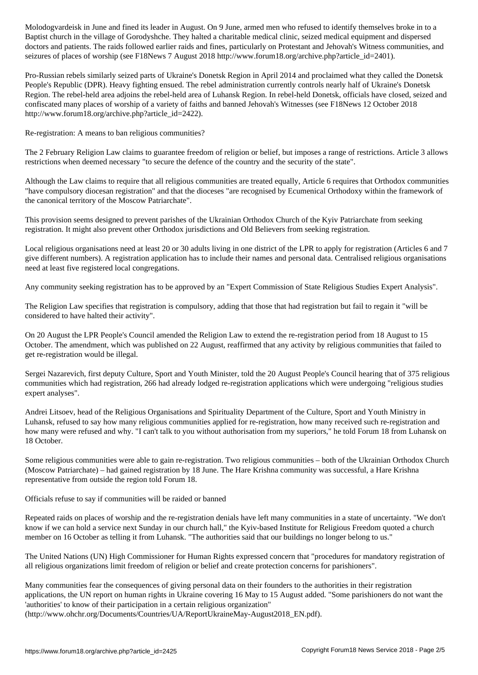Baptist church in the village of Gorodyshche. They halted a charitable medical clinic, seized medical equipment and dispersed doctors and patients. The raids followed earlier raids and fines, particularly on Protestant and Jehovah's Witness communities, and seizures of places of worship (see F18News 7 August 2018 http://www.forum18.org/archive.php?article\_id=2401).

Pro-Russian rebels similarly seized parts of Ukraine's Donetsk Region in April 2014 and proclaimed what they called the Donetsk People's Republic (DPR). Heavy fighting ensued. The rebel administration currently controls nearly half of Ukraine's Donetsk Region. The rebel-held area adjoins the rebel-held area of Luhansk Region. In rebel-held Donetsk, officials have closed, seized and confiscated many places of worship of a variety of faiths and banned Jehovah's Witnesses (see F18News 12 October 2018 http://www.forum18.org/archive.php?article\_id=2422).

Re-registration: A means to ban religious communities?

The 2 February Religion Law claims to guarantee freedom of religion or belief, but imposes a range of restrictions. Article 3 allows restrictions when deemed necessary "to secure the defence of the country and the security of the state".

Although the Law claims to require that all religious communities are treated equally, Article 6 requires that Orthodox communities "have compulsory diocesan registration" and that the dioceses "are recognised by Ecumenical Orthodoxy within the framework of the canonical territory of the Moscow Patriarchate".

This provision seems designed to prevent parishes of the Ukrainian Orthodox Church of the Kyiv Patriarchate from seeking registration. It might also prevent other Orthodox jurisdictions and Old Believers from seeking registration.

Local religious organisations need at least 20 or 30 adults living in one district of the LPR to apply for registration (Articles 6 and 7 give different numbers). A registration application has to include their names and personal data. Centralised religious organisations need at least five registered local congregations.

Any community seeking registration has to be approved by an "Expert Commission of State Religious Studies Expert Analysis".

The Religion Law specifies that registration is compulsory, adding that those that had registration but fail to regain it "will be considered to have halted their activity".

On 20 August the LPR People's Council amended the Religion Law to extend the re-registration period from 18 August to 15 October. The amendment, which was published on 22 August, reaffirmed that any activity by religious communities that failed to get re-registration would be illegal.

Sergei Nazarevich, first deputy Culture, Sport and Youth Minister, told the 20 August People's Council hearing that of 375 religious communities which had registration, 266 had already lodged re-registration applications which were undergoing "religious studies expert analyses".

Andrei Litsoev, head of the Religious Organisations and Spirituality Department of the Culture, Sport and Youth Ministry in Luhansk, refused to say how many religious communities applied for re-registration, how many received such re-registration and how many were refused and why. "I can't talk to you without authorisation from my superiors," he told Forum 18 from Luhansk on 18 October.

Some religious communities were able to gain re-registration. Two religious communities – both of the Ukrainian Orthodox Church (Moscow Patriarchate) – had gained registration by 18 June. The Hare Krishna community was successful, a Hare Krishna representative from outside the region told Forum 18.

Officials refuse to say if communities will be raided or banned

Repeated raids on places of worship and the re-registration denials have left many communities in a state of uncertainty. "We don't know if we can hold a service next Sunday in our church hall," the Kyiv-based Institute for Religious Freedom quoted a church member on 16 October as telling it from Luhansk. "The authorities said that our buildings no longer belong to us."

The United Nations (UN) High Commissioner for Human Rights expressed concern that "procedures for mandatory registration of all religious organizations limit freedom of religion or belief and create protection concerns for parishioners".

Many communities fear the consequences of giving personal data on their founders to the authorities in their registration applications, the UN report on human rights in Ukraine covering 16 May to 15 August added. "Some parishioners do not want the 'authorities' to know of their participation in a certain religious organization"

(http://www.ohchr.org/Documents/Countries/UA/ReportUkraineMay-August2018\_EN.pdf).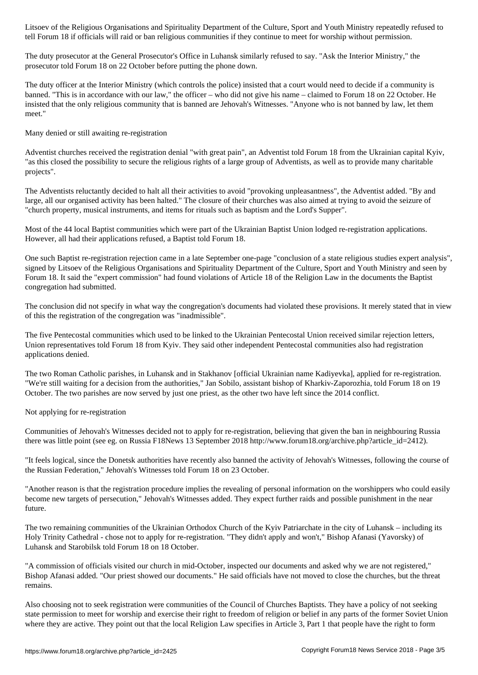tell Forum 18 if officials will raid or ban religious communities if they continue to meet for worship without permission.

The duty prosecutor at the General Prosecutor's Office in Luhansk similarly refused to say. "Ask the Interior Ministry," the prosecutor told Forum 18 on 22 October before putting the phone down.

The duty officer at the Interior Ministry (which controls the police) insisted that a court would need to decide if a community is banned. "This is in accordance with our law," the officer – who did not give his name – claimed to Forum 18 on 22 October. He insisted that the only religious community that is banned are Jehovah's Witnesses. "Anyone who is not banned by law, let them meet."

Many denied or still awaiting re-registration

Adventist churches received the registration denial "with great pain", an Adventist told Forum 18 from the Ukrainian capital Kyiv, "as this closed the possibility to secure the religious rights of a large group of Adventists, as well as to provide many charitable projects".

The Adventists reluctantly decided to halt all their activities to avoid "provoking unpleasantness", the Adventist added. "By and large, all our organised activity has been halted." The closure of their churches was also aimed at trying to avoid the seizure of "church property, musical instruments, and items for rituals such as baptism and the Lord's Supper".

Most of the 44 local Baptist communities which were part of the Ukrainian Baptist Union lodged re-registration applications. However, all had their applications refused, a Baptist told Forum 18.

One such Baptist re-registration rejection came in a late September one-page "conclusion of a state religious studies expert analysis", signed by Litsoev of the Religious Organisations and Spirituality Department of the Culture, Sport and Youth Ministry and seen by Forum 18. It said the "expert commission" had found violations of Article 18 of the Religion Law in the documents the Baptist congregation had submitted.

The conclusion did not specify in what way the congregation's documents had violated these provisions. It merely stated that in view of this the registration of the congregation was "inadmissible".

The five Pentecostal communities which used to be linked to the Ukrainian Pentecostal Union received similar rejection letters, Union representatives told Forum 18 from Kyiv. They said other independent Pentecostal communities also had registration applications denied.

The two Roman Catholic parishes, in Luhansk and in Stakhanov [official Ukrainian name Kadiyevka], applied for re-registration. "We're still waiting for a decision from the authorities," Jan Sobilo, assistant bishop of Kharkiv-Zaporozhia, told Forum 18 on 19 October. The two parishes are now served by just one priest, as the other two have left since the 2014 conflict.

Not applying for re-registration

Communities of Jehovah's Witnesses decided not to apply for re-registration, believing that given the ban in neighbouring Russia there was little point (see eg. on Russia F18News 13 September 2018 http://www.forum18.org/archive.php?article\_id=2412).

"It feels logical, since the Donetsk authorities have recently also banned the activity of Jehovah's Witnesses, following the course of the Russian Federation," Jehovah's Witnesses told Forum 18 on 23 October.

"Another reason is that the registration procedure implies the revealing of personal information on the worshippers who could easily become new targets of persecution," Jehovah's Witnesses added. They expect further raids and possible punishment in the near future.

The two remaining communities of the Ukrainian Orthodox Church of the Kyiv Patriarchate in the city of Luhansk – including its Holy Trinity Cathedral - chose not to apply for re-registration. "They didn't apply and won't," Bishop Afanasi (Yavorsky) of Luhansk and Starobilsk told Forum 18 on 18 October.

"A commission of officials visited our church in mid-October, inspected our documents and asked why we are not registered," Bishop Afanasi added. "Our priest showed our documents." He said officials have not moved to close the churches, but the threat remains.

Also choosing not to seek registration were communities of the Council of Churches Baptists. They have a policy of not seeking state permission to meet for worship and exercise their right to freedom of religion or belief in any parts of the former Soviet Union where they are active. They point out that the local Religion Law specifies in Article 3, Part 1 that people have the right to form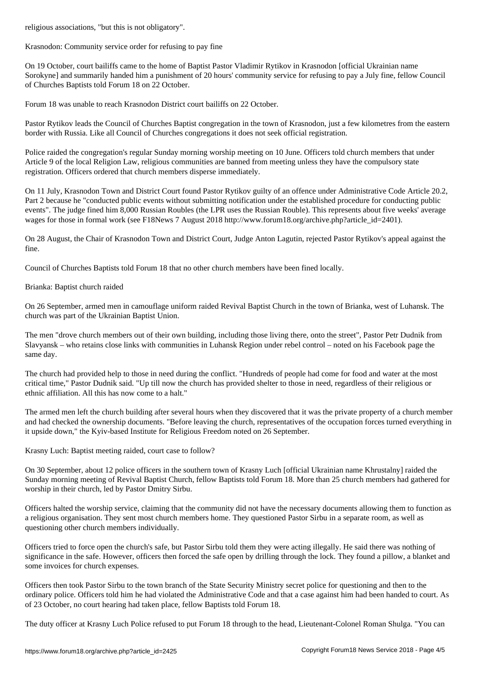Krasnodon: Community service order for refusing to pay fine

On 19 October, court bailiffs came to the home of Baptist Pastor Vladimir Rytikov in Krasnodon [official Ukrainian name Sorokyne] and summarily handed him a punishment of 20 hours' community service for refusing to pay a July fine, fellow Council of Churches Baptists told Forum 18 on 22 October.

Forum 18 was unable to reach Krasnodon District court bailiffs on 22 October.

Pastor Rytikov leads the Council of Churches Baptist congregation in the town of Krasnodon, just a few kilometres from the eastern border with Russia. Like all Council of Churches congregations it does not seek official registration.

Police raided the congregation's regular Sunday morning worship meeting on 10 June. Officers told church members that under Article 9 of the local Religion Law, religious communities are banned from meeting unless they have the compulsory state registration. Officers ordered that church members disperse immediately.

On 11 July, Krasnodon Town and District Court found Pastor Rytikov guilty of an offence under Administrative Code Article 20.2, Part 2 because he "conducted public events without submitting notification under the established procedure for conducting public events". The judge fined him 8,000 Russian Roubles (the LPR uses the Russian Rouble). This represents about five weeks' average wages for those in formal work (see F18News 7 August 2018 http://www.forum18.org/archive.php?article\_id=2401).

On 28 August, the Chair of Krasnodon Town and District Court, Judge Anton Lagutin, rejected Pastor Rytikov's appeal against the fine.

Council of Churches Baptists told Forum 18 that no other church members have been fined locally.

Brianka: Baptist church raided

On 26 September, armed men in camouflage uniform raided Revival Baptist Church in the town of Brianka, west of Luhansk. The church was part of the Ukrainian Baptist Union.

The men "drove church members out of their own building, including those living there, onto the street", Pastor Petr Dudnik from Slavyansk – who retains close links with communities in Luhansk Region under rebel control – noted on his Facebook page the same day.

The church had provided help to those in need during the conflict. "Hundreds of people had come for food and water at the most critical time," Pastor Dudnik said. "Up till now the church has provided shelter to those in need, regardless of their religious or ethnic affiliation. All this has now come to a halt."

The armed men left the church building after several hours when they discovered that it was the private property of a church member and had checked the ownership documents. "Before leaving the church, representatives of the occupation forces turned everything in it upside down," the Kyiv-based Institute for Religious Freedom noted on 26 September.

Krasny Luch: Baptist meeting raided, court case to follow?

On 30 September, about 12 police officers in the southern town of Krasny Luch [official Ukrainian name Khrustalny] raided the Sunday morning meeting of Revival Baptist Church, fellow Baptists told Forum 18. More than 25 church members had gathered for worship in their church, led by Pastor Dmitry Sirbu.

Officers halted the worship service, claiming that the community did not have the necessary documents allowing them to function as a religious organisation. They sent most church members home. They questioned Pastor Sirbu in a separate room, as well as questioning other church members individually.

Officers tried to force open the church's safe, but Pastor Sirbu told them they were acting illegally. He said there was nothing of significance in the safe. However, officers then forced the safe open by drilling through the lock. They found a pillow, a blanket and some invoices for church expenses.

Officers then took Pastor Sirbu to the town branch of the State Security Ministry secret police for questioning and then to the ordinary police. Officers told him he had violated the Administrative Code and that a case against him had been handed to court. As of 23 October, no court hearing had taken place, fellow Baptists told Forum 18.

The duty officer at Krasny Luch Police refused to put Forum 18 through to the head, Lieutenant-Colonel Roman Shulga. "You can